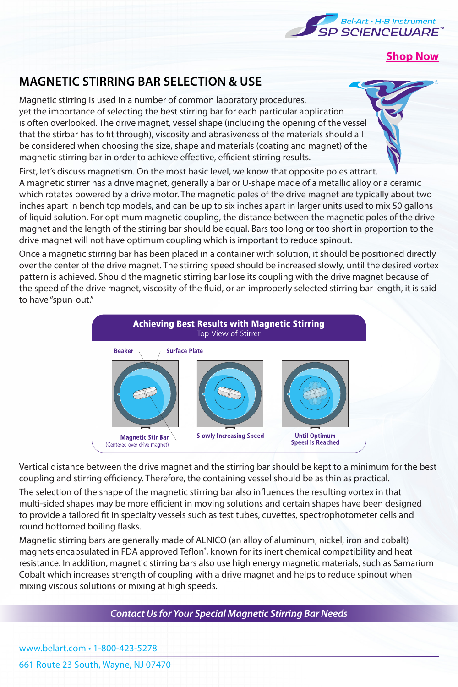

**[Shop Now](https://www.belart.com/suggested-search/product/magnetic-stirring-supplies/stir-bars.html)**

# **MAGNETIC STIRRING BAR SELECTION & USE**

Magnetic stirring is used in a number of common laboratory procedures, yet the importance of selecting the best stirring bar for each particular application is often overlooked. The drive magnet, vessel shape (including the opening of the vessel that the stirbar has to fit through), viscosity and abrasiveness of the materials should all be considered when choosing the size, shape and materials (coating and magnet) of the magnetic stirring bar in order to achieve effective, efficient stirring results.

First, let's discuss magnetism. On the most basic level, we know that opposite poles attract. A magnetic stirrer has a drive magnet, generally a bar or U-shape made of a metallic alloy or a ceramic which rotates powered by a drive motor. The magnetic poles of the drive magnet are typically about two inches apart in bench top models, and can be up to six inches apart in larger units used to mix 50 gallons of liquid solution. For optimum magnetic coupling, the distance between the magnetic poles of the drive magnet and the length of the stirring bar should be equal. Bars too long or too short in proportion to the drive magnet will not have optimum coupling which is important to reduce spinout.

Once a magnetic stirring bar has been placed in a container with solution, it should be positioned directly over the center of the drive magnet. The stirring speed should be increased slowly, until the desired vortex pattern is achieved. Should the magnetic stirring bar lose its coupling with the drive magnet because of the speed of the drive magnet, viscosity of the fluid, or an improperly selected stirring bar length, it is said to have "spun-out."



Vertical distance between the drive magnet and the stirring bar should be kept to a minimum for the best coupling and stirring efficiency. Therefore, the containing vessel should be as thin as practical.

The selection of the shape of the magnetic stirring bar also influences the resulting vortex in that multi-sided shapes may be more efficient in moving solutions and certain shapes have been designed to provide a tailored fit in specialty vessels such as test tubes, cuvettes, spectrophotometer cells and round bottomed boiling flasks.

Magnetic stirring bars are generally made of ALNICO (an alloy of aluminum, nickel, iron and cobalt) magnets encapsulated in FDA approved Teflon<sup>\*</sup>, known for its inert chemical compatibility and heat resistance. In addition, magnetic stirring bars also use high energy magnetic materials, such as Samarium Cobalt which increases strength of coupling with a drive magnet and helps to reduce spinout when mixing viscous solutions or mixing at high speeds.

*Contact Us for Your Special Magnetic Stirring Bar Needs*

www.belart.com • 1-800-423-5278

661 Route 23 South, Wayne, NJ 07470